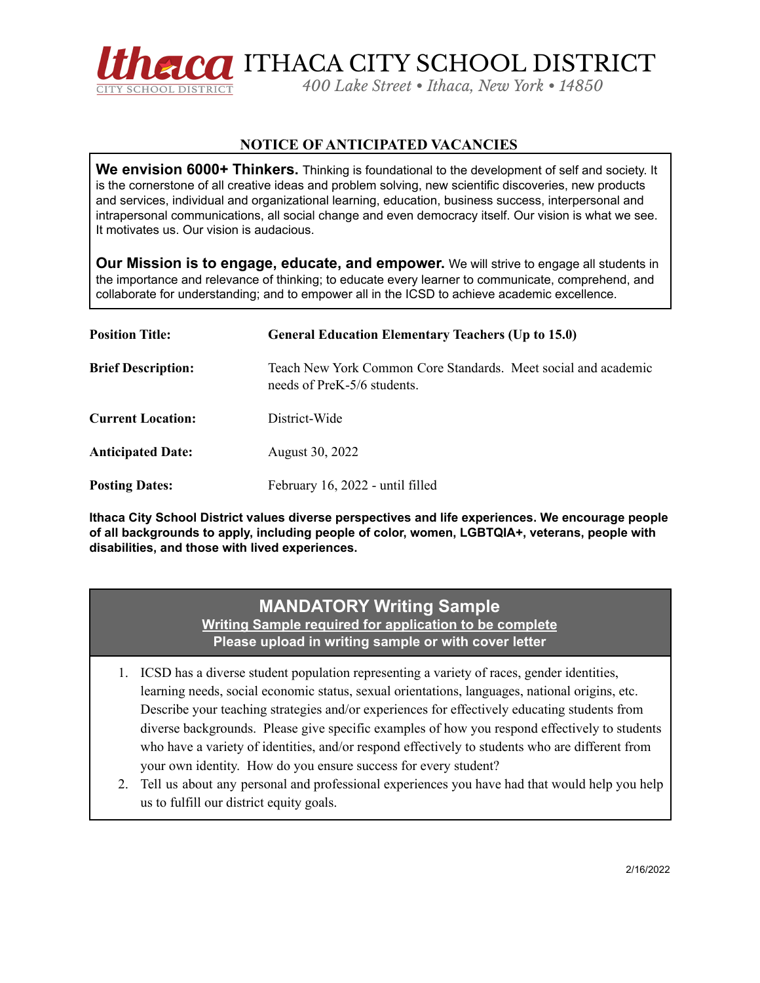

## **NOTICE OF ANTICIPATED VACANCIES**

**We envision 6000+ Thinkers.** Thinking is foundational to the development of self and society. It is the cornerstone of all creative ideas and problem solving, new scientific discoveries, new products and services, individual and organizational learning, education, business success, interpersonal and intrapersonal communications, all social change and even democracy itself. Our vision is what we see. It motivates us. Our vision is audacious.

**Our Mission is to engage, educate, and empower.** We will strive to engage all students in the importance and relevance of thinking; to educate every learner to communicate, comprehend, and collaborate for understanding; and to empower all in the ICSD to achieve academic excellence.

| <b>Position Title:</b>    | <b>General Education Elementary Teachers (Up to 15.0)</b>                                     |
|---------------------------|-----------------------------------------------------------------------------------------------|
| <b>Brief Description:</b> | Teach New York Common Core Standards. Meet social and academic<br>needs of PreK-5/6 students. |
| <b>Current Location:</b>  | District-Wide                                                                                 |
| <b>Anticipated Date:</b>  | August 30, 2022                                                                               |
| <b>Posting Dates:</b>     | February 16, 2022 - until filled                                                              |

**Ithaca City School District values diverse perspectives and life experiences. We encourage people of all backgrounds to apply, including people of color, women, LGBTQIA+, veterans, people with disabilities, and those with lived experiences.**

## **MANDATORY Writing Sample Writing Sample required for application to be complete Please upload in writing sample or with cover letter**

- 1. ICSD has a diverse student population representing a variety of races, gender identities, learning needs, social economic status, sexual orientations, languages, national origins, etc. Describe your teaching strategies and/or experiences for effectively educating students from diverse backgrounds. Please give specific examples of how you respond effectively to students who have a variety of identities, and/or respond effectively to students who are different from your own identity. How do you ensure success for every student?
- 2. Tell us about any personal and professional experiences you have had that would help you help us to fulfill our district equity goals.